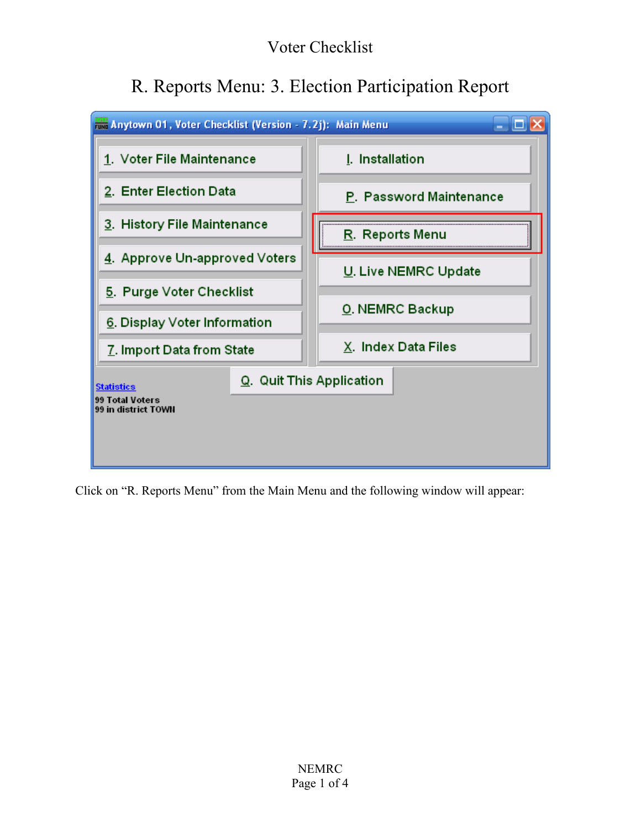## Voter Checklist

# R. Reports Menu: 3. Election Participation Report



Click on "R. Reports Menu" from the Main Menu and the following window will appear: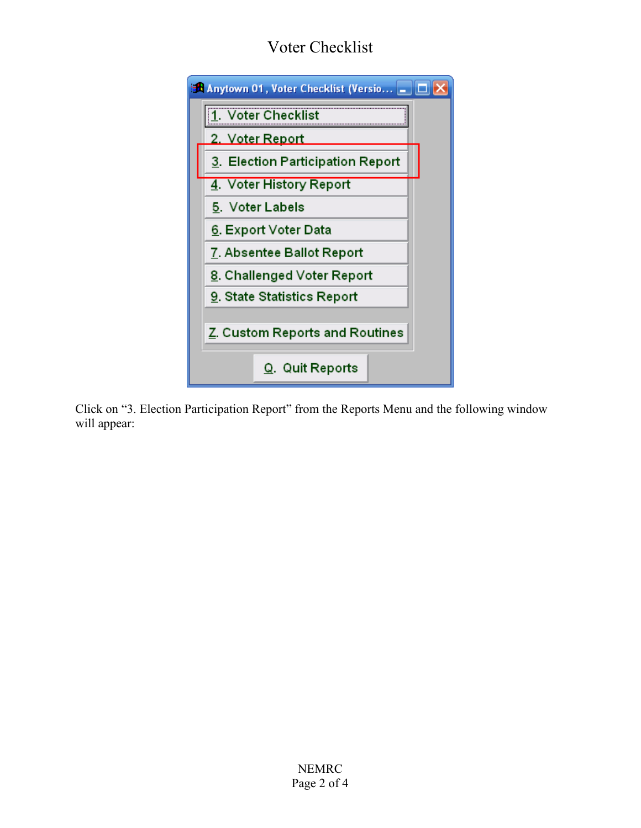# Voter Checklist



Click on "3. Election Participation Report" from the Reports Menu and the following window will appear: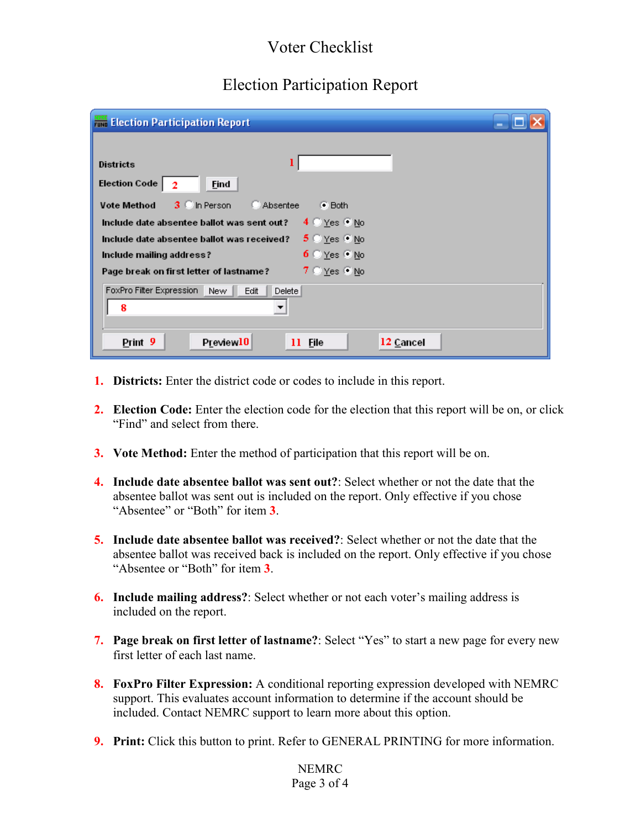#### Voter Checklist

### Election Participation Report

| <b>Election Participation Report</b>                                       |
|----------------------------------------------------------------------------|
|                                                                            |
| <b>Districts</b>                                                           |
| <b>Election Code</b><br>Eind                                               |
| 3 C In Person<br><b>Vote Method</b><br>C Absentee<br>$\bullet$ Both        |
| 4 C Yes ONo<br>Include date absentee ballot was sent out?                  |
| $5 \circ y_{es} \circ y_{0}$<br>Include date absentee ballot was received? |
| $6$ $\sqrt{2}$ Yes $6$ No<br>Include mailing address?                      |
| $7 \circ Y$ es $\circ N$ o<br>Page break on first letter of lastname?      |
| FoxPro Filter Expression<br>Edit<br>New<br>Delete                          |
| 8<br>$\overline{\phantom{a}}$                                              |
|                                                                            |
| Print 9<br>Preview10<br>12 Cancel<br>11 File                               |

- **1. Districts:** Enter the district code or codes to include in this report.
- **2. Election Code:** Enter the election code for the election that this report will be on, or click "Find" and select from there.
- **3. Vote Method:** Enter the method of participation that this report will be on.
- **4. Include date absentee ballot was sent out?**: Select whether or not the date that the absentee ballot was sent out is included on the report. Only effective if you chose "Absentee" or "Both" for item **3**.
- **5. Include date absentee ballot was received?**: Select whether or not the date that the absentee ballot was received back is included on the report. Only effective if you chose "Absentee or "Both" for item **3**.
- **6. Include mailing address?**: Select whether or not each voter's mailing address is included on the report.
- **7. Page break on first letter of lastname?**: Select "Yes" to start a new page for every new first letter of each last name.
- **8. FoxPro Filter Expression:** A conditional reporting expression developed with NEMRC support. This evaluates account information to determine if the account should be included. Contact NEMRC support to learn more about this option.
- **9. Print:** Click this button to print. Refer to GENERAL PRINTING for more information.

#### NEMRC Page 3 of 4